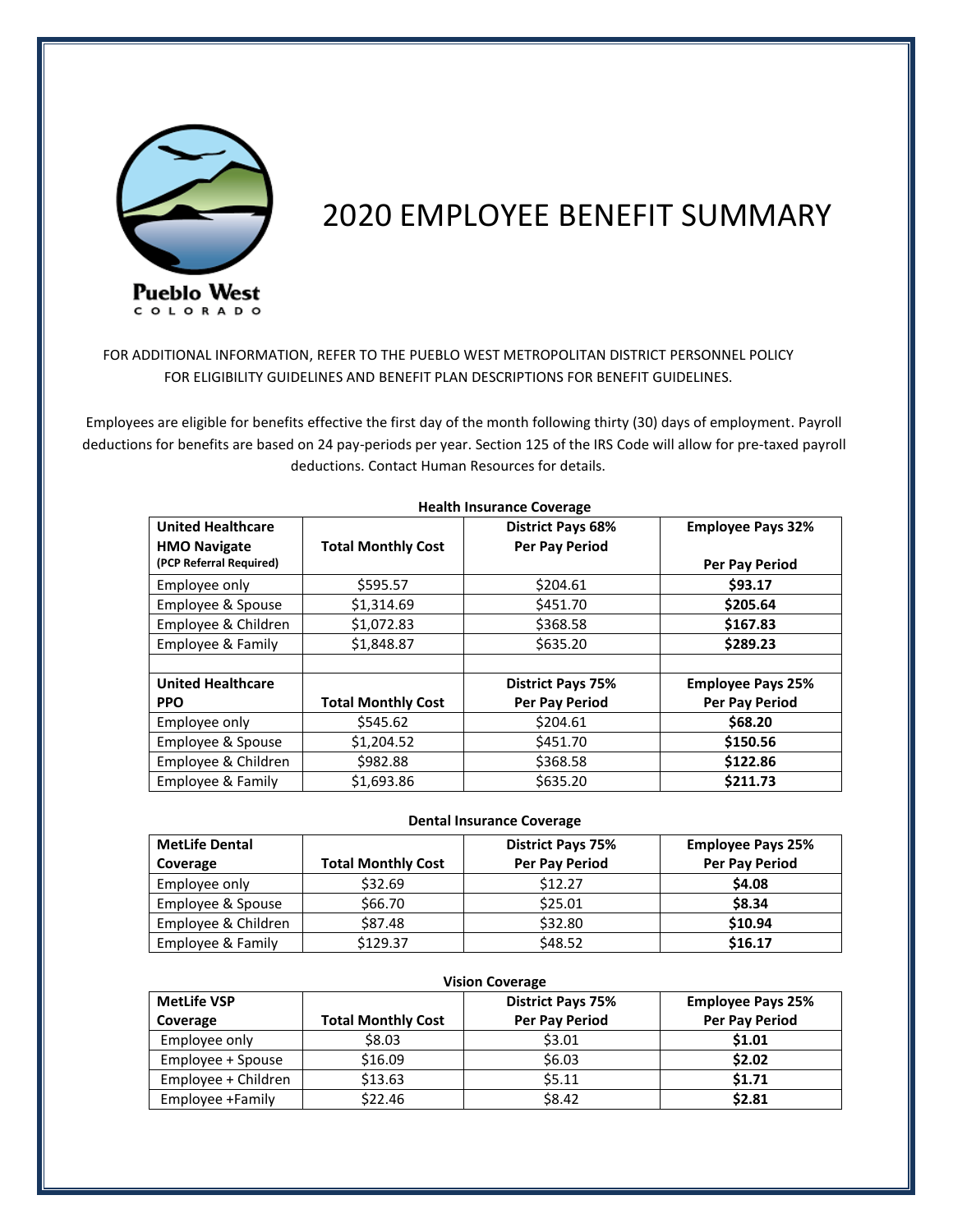

# 2020 EMPLOYEE BENEFIT SUMMARY

FOR ADDITIONAL INFORMATION, REFER TO THE PUEBLO WEST METROPOLITAN DISTRICT PERSONNEL POLICY FOR ELIGIBILITY GUIDELINES AND BENEFIT PLAN DESCRIPTIONS FOR BENEFIT GUIDELINES.

 Employees are eligible for benefits effective the first day of the month following thirty (30) days of employment. Payroll deductions for benefits are based on 24 pay-periods per year. Section 125 of the IRS Code will allow for pre-taxed payroll deductions. Contact Human Resources for details.

| <b>United Healthcare</b> |                           | <b>District Pays 68%</b> | <b>Employee Pays 32%</b> |  |  |  |  |
|--------------------------|---------------------------|--------------------------|--------------------------|--|--|--|--|
| <b>HMO Navigate</b>      | <b>Total Monthly Cost</b> | <b>Per Pay Period</b>    |                          |  |  |  |  |
| (PCP Referral Required)  |                           |                          | Per Pay Period           |  |  |  |  |
| Employee only            | \$595.57                  | \$204.61                 | \$93.17                  |  |  |  |  |
| Employee & Spouse        | \$1,314.69                | \$451.70                 | \$205.64                 |  |  |  |  |
| Employee & Children      | \$1,072.83                |                          | \$167.83                 |  |  |  |  |
| Employee & Family        | \$1,848.87                | \$635.20                 | \$289.23                 |  |  |  |  |
|                          |                           |                          |                          |  |  |  |  |
| <b>United Healthcare</b> |                           | <b>District Pays 75%</b> | <b>Employee Pays 25%</b> |  |  |  |  |
| <b>PPO</b>               | <b>Total Monthly Cost</b> | Per Pay Period           | <b>Per Pay Period</b>    |  |  |  |  |
| Employee only            | \$545.62                  | \$204.61                 | \$68.20                  |  |  |  |  |
| Employee & Spouse        | \$1,204.52                | \$451.70                 | \$150.56                 |  |  |  |  |
| Employee & Children      | \$982.88                  | \$368.58                 | \$122.86                 |  |  |  |  |
| Employee & Family        | \$1,693.86                | \$635.20                 | \$211.73                 |  |  |  |  |

# **Health Insurance Coverage**

## **Dental Insurance Coverage**

| <b>MetLife Dental</b> |                           | <b>District Pays 75%</b> | <b>Employee Pays 25%</b> |
|-----------------------|---------------------------|--------------------------|--------------------------|
| Coverage              | <b>Total Monthly Cost</b> | Per Pay Period           | Per Pay Period           |
| Employee only         | \$32.69                   | \$12.27                  | \$4.08                   |
| Employee & Spouse     | \$66.70                   | \$25.01                  | \$8.34                   |
| Employee & Children   | \$87.48                   | \$32.80                  | \$10.94                  |
| Employee & Family     | \$129.37                  | \$48.52                  | \$16.17                  |

| <b>Vision Coverage</b> |                           |                          |                          |  |  |  |  |
|------------------------|---------------------------|--------------------------|--------------------------|--|--|--|--|
| <b>MetLife VSP</b>     |                           | <b>District Pays 75%</b> | <b>Employee Pays 25%</b> |  |  |  |  |
| Coverage               | <b>Total Monthly Cost</b> | Per Pay Period           | <b>Per Pay Period</b>    |  |  |  |  |
| Employee only          | \$8.03                    | \$3.01                   | \$1.01                   |  |  |  |  |
| Employee + Spouse      | \$16.09                   | \$6.03                   | \$2.02                   |  |  |  |  |
| Employee + Children    | \$13.63                   | \$5.11                   | \$1.71                   |  |  |  |  |
| Employee +Family       | \$22.46                   | \$8.42                   | \$2.81                   |  |  |  |  |